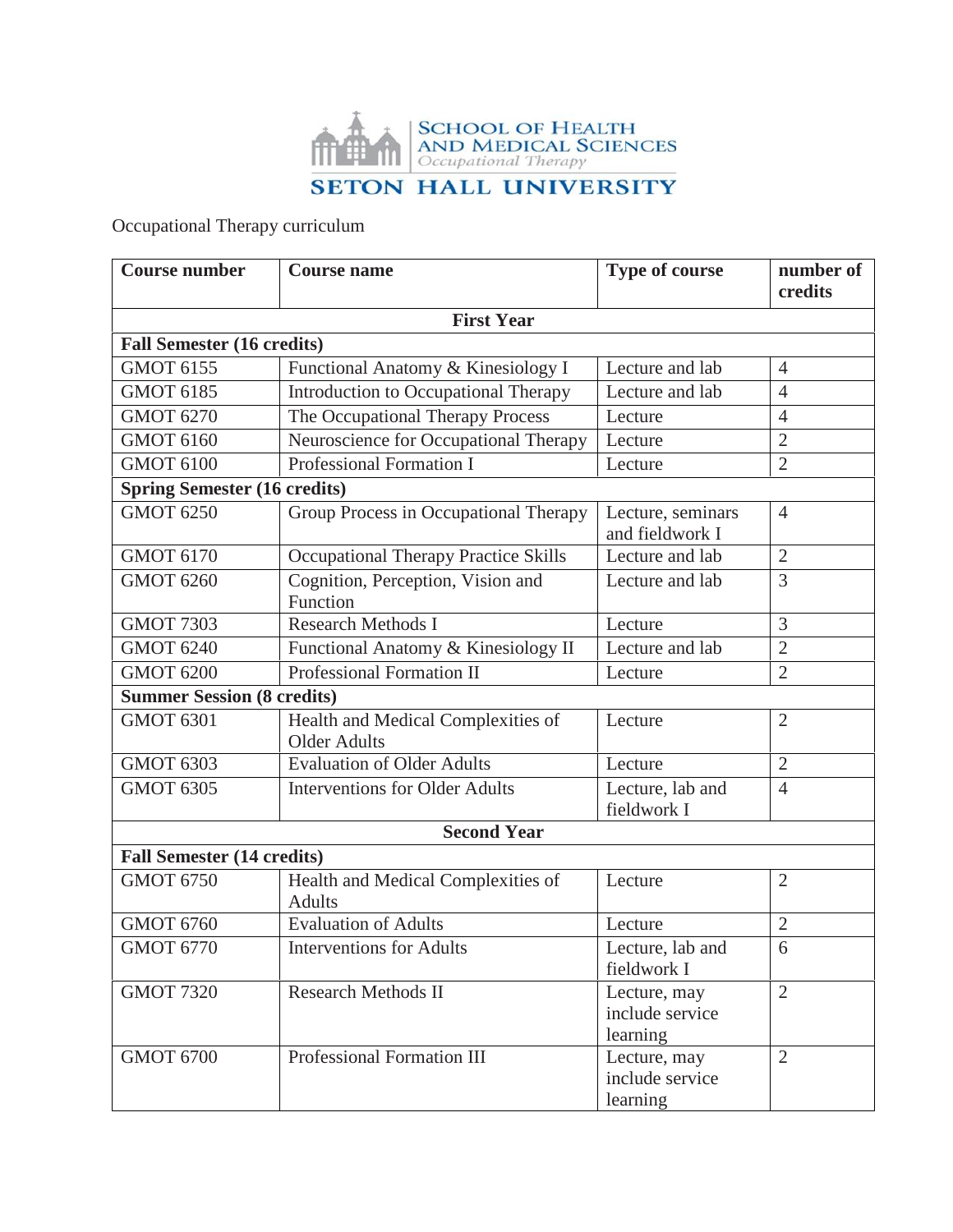

Occupational Therapy curriculum

| <b>Course number</b>                | <b>Course name</b>                                        | Type of course                              | number of<br>credits |
|-------------------------------------|-----------------------------------------------------------|---------------------------------------------|----------------------|
|                                     | <b>First Year</b>                                         |                                             |                      |
| <b>Fall Semester (16 credits)</b>   |                                                           |                                             |                      |
| <b>GMOT 6155</b>                    | Functional Anatomy & Kinesiology I                        | Lecture and lab                             | $\overline{4}$       |
| <b>GMOT 6185</b>                    | Introduction to Occupational Therapy                      | Lecture and lab                             | $\overline{4}$       |
| <b>GMOT 6270</b>                    | The Occupational Therapy Process                          | Lecture                                     | $\overline{4}$       |
| <b>GMOT 6160</b>                    | Neuroscience for Occupational Therapy                     | Lecture                                     | $\overline{2}$       |
| <b>GMOT 6100</b>                    | Professional Formation I                                  | Lecture                                     | $\overline{2}$       |
| <b>Spring Semester (16 credits)</b> |                                                           |                                             |                      |
| <b>GMOT 6250</b>                    | Group Process in Occupational Therapy                     | Lecture, seminars<br>and fieldwork I        | $\overline{4}$       |
| <b>GMOT 6170</b>                    | Occupational Therapy Practice Skills                      | Lecture and lab                             | $\overline{2}$       |
| <b>GMOT 6260</b>                    | Cognition, Perception, Vision and<br>Function             | Lecture and lab                             | 3                    |
| <b>GMOT 7303</b>                    | <b>Research Methods I</b>                                 | Lecture                                     | 3                    |
| <b>GMOT 6240</b>                    | Functional Anatomy & Kinesiology II                       | Lecture and lab                             | $\overline{2}$       |
| <b>GMOT 6200</b>                    | Professional Formation II                                 | Lecture                                     | $\overline{2}$       |
| <b>Summer Session (8 credits)</b>   |                                                           |                                             |                      |
| <b>GMOT 6301</b>                    | Health and Medical Complexities of<br><b>Older Adults</b> | Lecture                                     | $\overline{2}$       |
| <b>GMOT 6303</b>                    | <b>Evaluation of Older Adults</b>                         | Lecture                                     | $\overline{2}$       |
| <b>GMOT 6305</b>                    | <b>Interventions for Older Adults</b>                     | Lecture, lab and<br>fieldwork I             | $\overline{4}$       |
|                                     | <b>Second Year</b>                                        |                                             |                      |
| <b>Fall Semester (14 credits)</b>   |                                                           |                                             |                      |
| <b>GMOT 6750</b>                    | Health and Medical Complexities of<br><b>Adults</b>       | Lecture                                     | $\overline{2}$       |
| <b>GMOT 6760</b>                    | <b>Evaluation of Adults</b>                               | Lecture                                     | $\overline{2}$       |
| <b>GMOT 6770</b>                    | <b>Interventions for Adults</b>                           | Lecture, lab and<br>fieldwork I             | 6                    |
| <b>GMOT 7320</b>                    | <b>Research Methods II</b>                                | Lecture, may<br>include service<br>learning | $\overline{2}$       |
| <b>GMOT 6700</b>                    | Professional Formation III                                | Lecture, may<br>include service<br>learning | $\overline{2}$       |